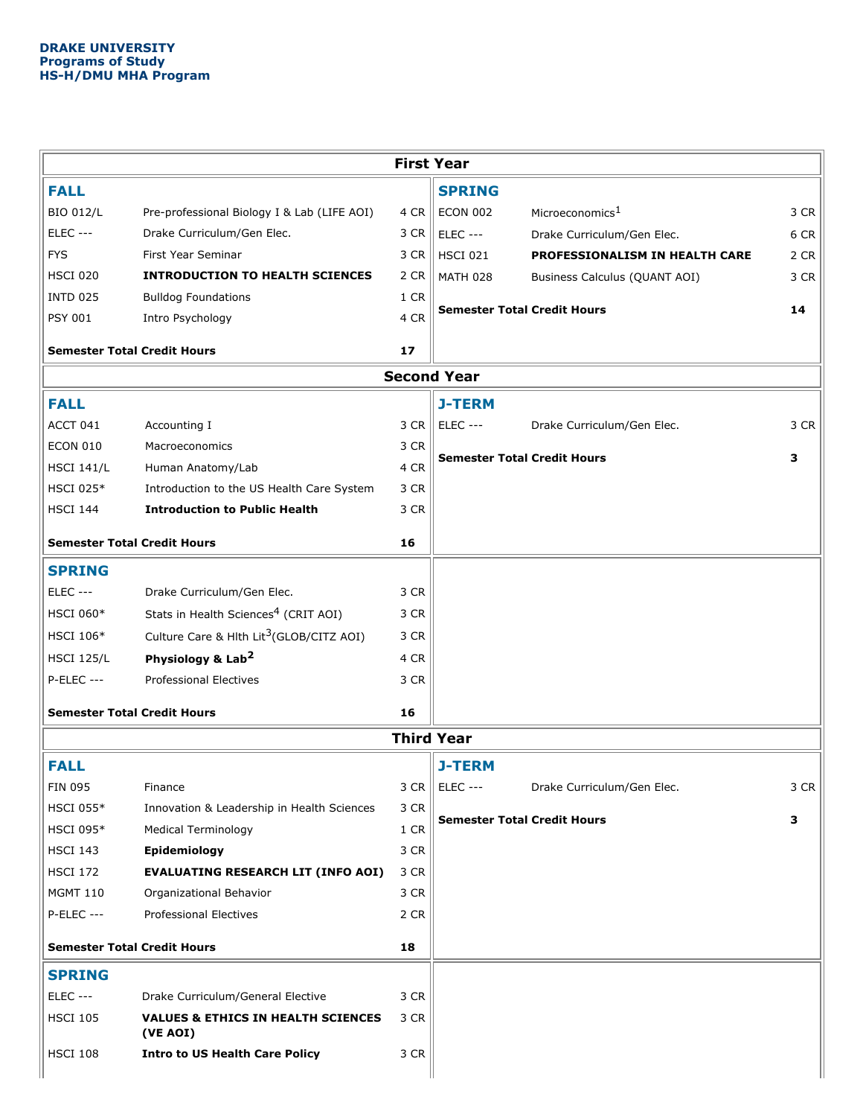| <b>First Year</b>                  |                                                           |                    |                                    |                                |      |  |  |  |  |  |
|------------------------------------|-----------------------------------------------------------|--------------------|------------------------------------|--------------------------------|------|--|--|--|--|--|
| <b>FALL</b>                        |                                                           |                    | <b>SPRING</b>                      |                                |      |  |  |  |  |  |
| <b>BIO 012/L</b>                   | Pre-professional Biology I & Lab (LIFE AOI)               | 4 CR               | <b>ECON 002</b>                    | Microeconomics <sup>1</sup>    | 3 CR |  |  |  |  |  |
| <b>ELEC ---</b>                    | Drake Curriculum/Gen Elec.                                | 3 CR               | <b>ELEC ---</b>                    | Drake Curriculum/Gen Elec.     | 6 CR |  |  |  |  |  |
| <b>FYS</b>                         | First Year Seminar                                        | 3 CR               | <b>HSCI 021</b>                    | PROFESSIONALISM IN HEALTH CARE | 2 CR |  |  |  |  |  |
| <b>HSCI 020</b>                    | <b>INTRODUCTION TO HEALTH SCIENCES</b>                    | 2 CR               | <b>MATH 028</b>                    | Business Calculus (QUANT AOI)  | 3 CR |  |  |  |  |  |
| <b>INTD 025</b>                    | <b>Bulldog Foundations</b>                                | 1 CR               | <b>Semester Total Credit Hours</b> |                                |      |  |  |  |  |  |
| <b>PSY 001</b>                     | Intro Psychology                                          | 4 CR               |                                    |                                | 14   |  |  |  |  |  |
| <b>Semester Total Credit Hours</b> |                                                           | 17                 |                                    |                                |      |  |  |  |  |  |
|                                    |                                                           | <b>Second Year</b> |                                    |                                |      |  |  |  |  |  |
| <b>FALL</b>                        |                                                           |                    | <b>J-TERM</b>                      |                                |      |  |  |  |  |  |
| ACCT 041                           | Accounting I                                              | 3 CR               | <b>ELEC ---</b>                    | Drake Curriculum/Gen Elec.     | 3 CR |  |  |  |  |  |
| <b>ECON 010</b>                    | Macroeconomics                                            | 3 CR               |                                    |                                |      |  |  |  |  |  |
| <b>HSCI 141/L</b>                  | Human Anatomy/Lab                                         | 4 CR               | <b>Semester Total Credit Hours</b> |                                | 3    |  |  |  |  |  |
| <b>HSCI 025*</b>                   | Introduction to the US Health Care System                 | 3 CR               |                                    |                                |      |  |  |  |  |  |
| <b>HSCI 144</b>                    | <b>Introduction to Public Health</b>                      | 3 CR               |                                    |                                |      |  |  |  |  |  |
| <b>Semester Total Credit Hours</b> |                                                           | 16                 |                                    |                                |      |  |  |  |  |  |
| <b>SPRING</b>                      |                                                           |                    |                                    |                                |      |  |  |  |  |  |
| <b>ELEC ---</b>                    | Drake Curriculum/Gen Elec.                                | 3 CR               |                                    |                                |      |  |  |  |  |  |
| <b>HSCI 060*</b>                   | Stats in Health Sciences <sup>4</sup> (CRIT AOI)          | 3 CR               |                                    |                                |      |  |  |  |  |  |
| <b>HSCI 106*</b>                   | Culture Care & Hlth Lit <sup>3</sup> (GLOB/CITZ AOI)      | 3 CR               |                                    |                                |      |  |  |  |  |  |
| <b>HSCI 125/L</b>                  | Physiology & Lab <sup>2</sup>                             | 4 CR               |                                    |                                |      |  |  |  |  |  |
| <b>P-ELEC ---</b>                  | <b>Professional Electives</b>                             | 3 CR               |                                    |                                |      |  |  |  |  |  |
| <b>Semester Total Credit Hours</b> |                                                           | 16                 |                                    |                                |      |  |  |  |  |  |
| <b>Third Year</b>                  |                                                           |                    |                                    |                                |      |  |  |  |  |  |
| <b>FALL</b>                        |                                                           |                    | <b>J-TERM</b>                      |                                |      |  |  |  |  |  |
| <b>FIN 095</b>                     | Finance                                                   | 3 CR               | <b>ELEC ---</b>                    | Drake Curriculum/Gen Elec.     | 3 CR |  |  |  |  |  |
| <b>HSCI 055*</b>                   | Innovation & Leadership in Health Sciences                | 3 CR               |                                    |                                |      |  |  |  |  |  |
| <b>HSCI 095*</b>                   | <b>Medical Terminology</b>                                | 1 CR               | <b>Semester Total Credit Hours</b> |                                | З    |  |  |  |  |  |
| <b>HSCI 143</b>                    | Epidemiology                                              | 3 CR               |                                    |                                |      |  |  |  |  |  |
| <b>HSCI 172</b>                    | <b>EVALUATING RESEARCH LIT (INFO AOI)</b>                 | 3 CR               |                                    |                                |      |  |  |  |  |  |
| <b>MGMT 110</b>                    | Organizational Behavior                                   | 3 CR               |                                    |                                |      |  |  |  |  |  |
| <b>P-ELEC ---</b>                  | <b>Professional Electives</b>                             | 2 CR               |                                    |                                |      |  |  |  |  |  |
| <b>Semester Total Credit Hours</b> |                                                           | 18                 |                                    |                                |      |  |  |  |  |  |
| <b>SPRING</b>                      |                                                           |                    |                                    |                                |      |  |  |  |  |  |
| <b>ELEC ---</b>                    | Drake Curriculum/General Elective                         | 3 CR               |                                    |                                |      |  |  |  |  |  |
| <b>HSCI 105</b>                    | <b>VALUES &amp; ETHICS IN HEALTH SCIENCES</b><br>(VE AOI) | 3 CR               |                                    |                                |      |  |  |  |  |  |
| <b>HSCI 108</b>                    | <b>Intro to US Health Care Policy</b>                     | 3 CR               |                                    |                                |      |  |  |  |  |  |
|                                    |                                                           |                    |                                    |                                |      |  |  |  |  |  |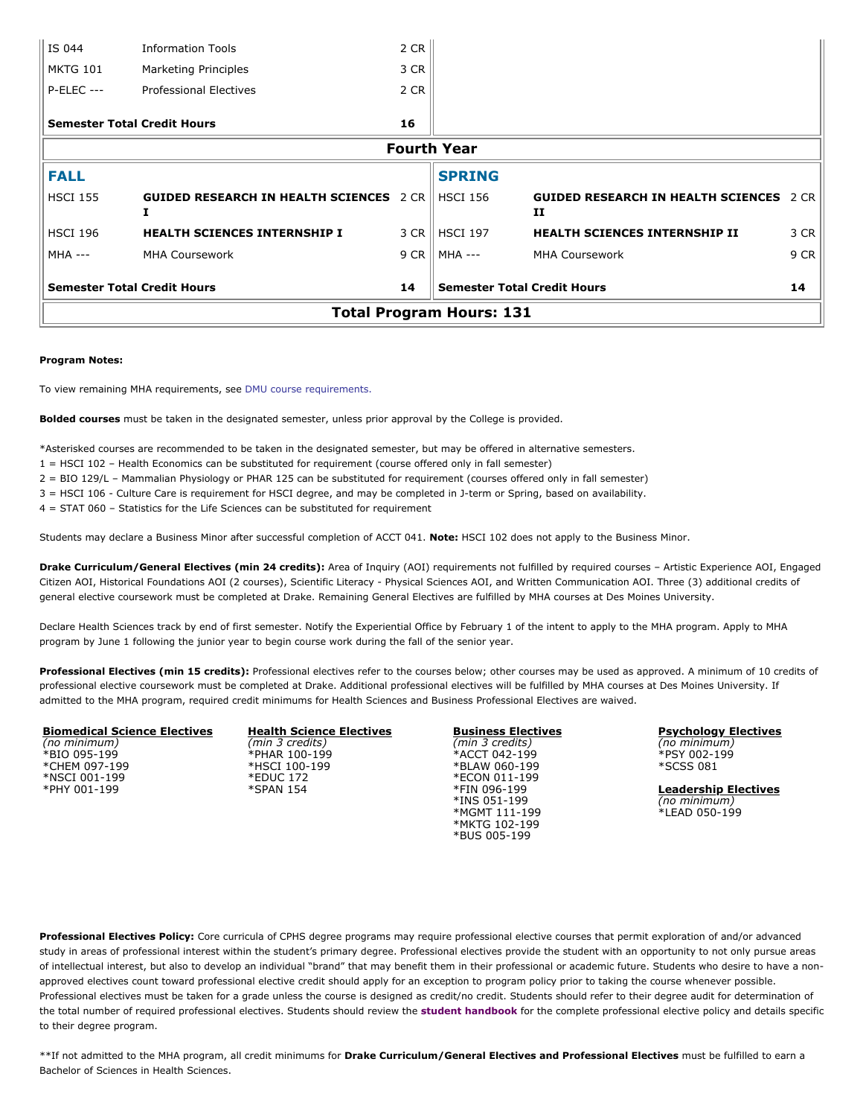| <b>Total Program Hours: 131</b>          |                                                            |      |                                    |                                                           |      |  |  |  |  |
|------------------------------------------|------------------------------------------------------------|------|------------------------------------|-----------------------------------------------------------|------|--|--|--|--|
| <b>Semester Total Credit Hours</b>       |                                                            | 14   | <b>Semester Total Credit Hours</b> |                                                           | 14   |  |  |  |  |
| $MHA$ ---                                | <b>MHA Coursework</b>                                      |      | 9 CR    MHA ---                    | <b>MHA Coursework</b>                                     | 9 CR |  |  |  |  |
| <b>HSCI 196</b>                          | <b>HEALTH SCIENCES INTERNSHIP I</b>                        |      | 3 CR   HSCI 197                    | <b>HEALTH SCIENCES INTERNSHIP II</b>                      | 3 CR |  |  |  |  |
| <b>HSCI 155</b>                          | <b>GUIDED RESEARCH IN HEALTH SCIENCES</b> 2 CR    HSCI 156 |      |                                    | <b>GUIDED RESEARCH IN HEALTH SCIENCES</b><br>$\mathbf{H}$ | 2 CR |  |  |  |  |
| <b>FALL</b>                              |                                                            |      | <b>SPRING</b>                      |                                                           |      |  |  |  |  |
| <b>Fourth Year</b>                       |                                                            |      |                                    |                                                           |      |  |  |  |  |
| <b>Semester Total Credit Hours</b><br>16 |                                                            |      |                                    |                                                           |      |  |  |  |  |
| <b>P-ELEC ---</b>                        | <b>Professional Electives</b>                              | 2 CR |                                    |                                                           |      |  |  |  |  |
| <b>MKTG 101</b>                          | Marketing Principles                                       | 3 CR |                                    |                                                           |      |  |  |  |  |
| IS 044                                   | <b>Information Tools</b>                                   | 2CR  |                                    |                                                           |      |  |  |  |  |

## **Program Notes:**

To view remaining MHA requirements, see DMU course [requirements.](https://cphs-web.drake.edu/aspx/Programs/%E2%80%9Chttps://catalog.dmu.edu/health-sciences/health-care-administration-mha/#coursestext%E2%80%9D)

**Bolded courses** must be taken in the designated semester, unless prior approval by the College is provided.

\*Asterisked courses are recommended to be taken in the designated semester, but may be offered in alternative semesters.

1 = HSCI 102 – Health Economics can be substituted for requirement (course offered only in fall semester)

2 = BIO 129/L – Mammalian Physiology or PHAR 125 can be substituted for requirement (courses offered only in fall semester)

3 = HSCI 106 - Culture Care is requirement for HSCI degree, and may be completed in J-term or Spring, based on availability.

4 = STAT 060 – Statistics for the Life Sciences can be substituted for requirement

Students may declare a Business Minor after successful completion of ACCT 041. **Note:** HSCI 102 does not apply to the Business Minor.

**Drake Curriculum/General Electives (min 24 credits):** Area of Inquiry (AOI) requirements not fulfilled by required courses – Artistic Experience AOI, Engaged Citizen AOI, Historical Foundations AOI (2 courses), Scientific Literacy - Physical Sciences AOI, and Written Communication AOI. Three (3) additional credits of general elective coursework must be completed at Drake. Remaining General Electives are fulfilled by MHA courses at Des Moines University.

Declare Health Sciences track by end of first semester. Notify the Experiential Office by February 1 of the intent to apply to the MHA program. Apply to MHA program by June 1 following the junior year to begin course work during the fall of the senior year.

Professional Electives (min 15 credits): Professional electives refer to the courses below; other courses may be used as approved. A minimum of 10 credits of professional elective coursework must be completed at Drake. Additional professional electives will be fulfilled by MHA courses at Des Moines University. If admitted to the MHA program, required credit minimums for Health Sciences and Business Professional Electives are waived.

**Biomedical Science Electives** *(no minimum)* \*BIO 095-199 \*CHEM 097-199 \*NSCI 001-199 \*PHY 001-199

**Health Science Electives** *(min 3 credits)*  \*PHAR 100-199 \*HSCI 100-199 \*EDUC 172 \*SPAN 154

**Business Electives** *(min 3 credits)* \*ACCT 042-199 \*BLAW 060-199 \*ECON 011-199 \*FIN 096-199 \*INS 051-199 \*MGMT 111-199 \*MKTG 102-199 \*BUS 005-199

**Psychology Electives** *(no minimum)* \*PSY 002-199 \*SCSS 081

**Leadership Electives** *(no minimum)* \*LEAD 050-199

**Professional Electives Policy:** Core curricula of CPHS degree programs may require professional elective courses that permit exploration of and/or advanced study in areas of professional interest within the student's primary degree. Professional electives provide the student with an opportunity to not only pursue areas of intellectual interest, but also to develop an individual "brand" that may benefit them in their professional or academic future. Students who desire to have a nonapproved electives count toward professional elective credit should apply for an exception to program policy prior to taking the course whenever possible. Professional electives must be taken for a grade unless the course is designed as credit/no credit. Students should refer to their degree audit for determination of the total number of required professional electives. Students should review the **[student handbook](https://www.drake.edu/cphs/handbookspolicies/)** for the complete professional elective policy and details specific to their degree program.

\*\*If not admitted to the MHA program, all credit minimums for **Drake Curriculum/General Electives and Professional Electives** must be fulfilled to earn a Bachelor of Sciences in Health Sciences.